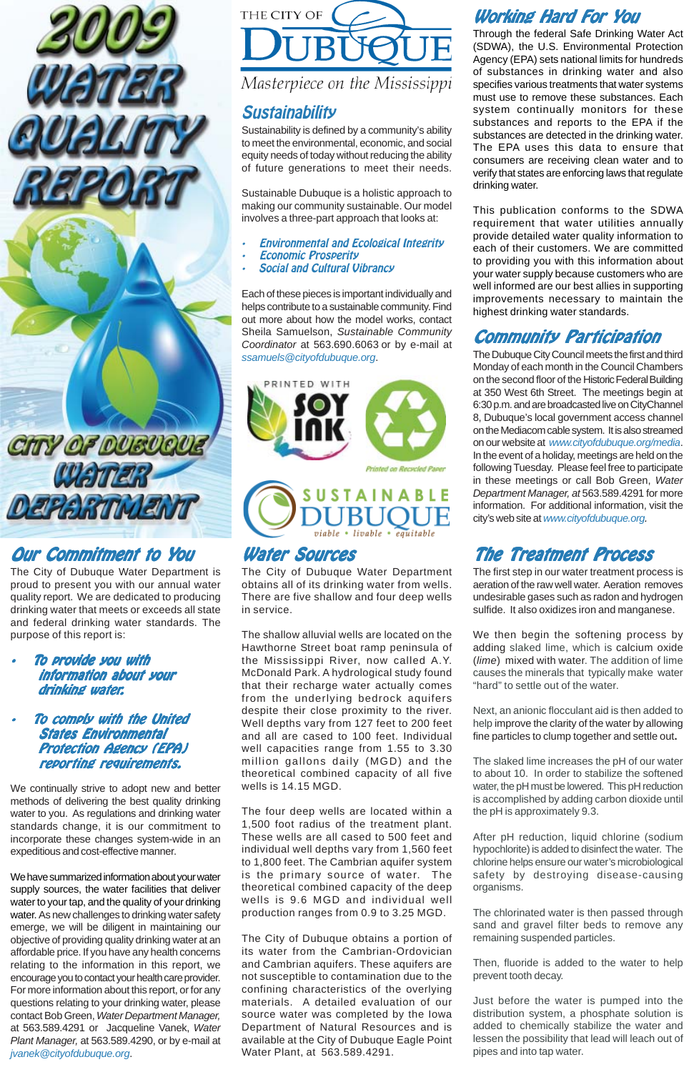

# *Our Commitment to You*

The City of Dubuque Water Department is proud to present you with our annual water quality report. We are dedicated to producing drinking water that meets or exceeds all state and federal drinking water standards. The purpose of this report is:

- *To provide you with infor information about your mation about your drinking water drinking water.*
- *To comply with the United States Environmental Pr Protection Agency (EPA) reporting requirements. ements.*

We continually strive to adopt new and better methods of delivering the best quality drinking water to you. As regulations and drinking water standards change, it is our commitment to incorporate these changes system-wide in an expeditious and cost-effective manner.



Masterpiece on the Mississippi

We have summarized information about your water supply sources, the water facilities that deliver water to your tap, and the quality of your drinking water. As new challenges to drinking water safety emerge, we will be diligent in maintaining our objective of providing quality drinking water at an affordable price. If you have any health concerns relating to the information in this report, we encourage you to contact your health care provider. For more information about this report, or for any questions relating to your drinking water, please contact Bob Green, *Water Department Manager,* at 563.589.4291 or Jacqueline Vanek, *Water Plant Manager,* at 563.589.4290, or by e-mail at *jvanek@cityofdubuque.org*.

### *Water Sour ater Sources*

The City of Dubuque Water Department obtains all of its drinking water from wells. There are five shallow and four deep wells in service.

The shallow alluvial wells are located on the Hawthorne Street boat ramp peninsula of the Mississippi River, now called A.Y. McDonald Park. A hydrological study found that their recharge water actually comes from the underlying bedrock aquifers despite their close proximity to the river. Well depths vary from 127 feet to 200 feet and all are cased to 100 feet. Individual well capacities range from 1.55 to 3.30 million gallons daily (MGD) and the theoretical combined capacity of all five wells is 14.15 MGD.

## **Working Hard For You**

The four deep wells are located within a 1,500 foot radius of the treatment plant. These wells are all cased to 500 feet and individual well depths vary from 1,560 feet to 1,800 feet. The Cambrian aquifer system is the primary source of water. The theoretical combined capacity of the deep wells is 9.6 MGD and individual well production ranges from 0.9 to 3.25 MGD.

The City of Dubuque obtains a portion of its water from the Cambrian-Ordovician and Cambrian aquifers. These aquifers are not susceptible to contamination due to the confining characteristics of the overlying materials. A detailed evaluation of our source water was completed by the Iowa Department of Natural Resources and is available at the City of Dubuque Eagle Point Water Plant, at 563.589.4291.

# *The Treatment Process The Treatment Process*

The first step in our water treatment process is aeration of the raw well water. Aeration removes undesirable gases such as radon and hydrogen sulfide. It also oxidizes iron and manganese.

We then begin the softening process by adding slaked lime, which is calcium oxide (*lime*) mixed with water. The addition of lime causes the minerals that typically make water "hard" to settle out of the water.

Next, an anionic flocculant aid is then added to help improve the clarity of the water by allowing fine particles to clump together and settle out**.**

The slaked lime increases the pH of our water to about 10. In order to stabilize the softened water, the pH must be lowered. This pH reduction is accomplished by adding carbon dioxide until the pH is approximately 9.3.

After pH reduction, liquid chlorine (sodium hypochlorite) is added to disinfect the water. The chlorine helps ensure our water's microbiological safety by destroying disease-causing organisms.

The chlorinated water is then passed through sand and gravel filter beds to remove any remaining suspended particles.

Then, fluoride is added to the water to help prevent tooth decay.

Just before the water is pumped into the distribution system, a phosphate solution is added to chemically stabilize the water and lessen the possibility that lead will leach out of pipes and into tap water.

## *Community Par Community Participation ticipation*

The Dubuque City Council meets the first and third Monday of each month in the Council Chambers on the second floor of the Historic Federal Building at 350 West 6th Street. The meetings begin at 6:30 p.m. and are broadcasted live on CityChannel 8, Dubuque's local government access channel on the Mediacom cable system. It is also streamed on our website at *www.cityofdubuque.org/media*. In the event of a holiday, meetings are held on the following Tuesday. Please feel free to participate in these meetings or call Bob Green, *Water Department Manager, at* 563.589.4291 for more information. For additional information, visit the city's web site at *www.cityofdubuque.org.*

## *Sustainability*

Sustainability is defined by a community's ability to meet the environmental, economic, and social equity needs of today without reducing the ability of future generations to meet their needs.

Sustainable Dubuque is a holistic approach to making our community sustainable. Our model involves a three-part approach that looks at:

- *Environmental and Ecological Integrity*
- *Economic Prosperity*
- *Social and Cultural Vibrancy*

Each of these pieces is important individually and helps contribute to a sustainable community. Find out more about how the model works, contact Sheila Samuelson, *Sustainable Community Coordinator* at 563.690.6063 or by e-mail at *ssamuels@cityofdubuque.org*.



Through the federal Safe Drinking Water Act (SDWA), the U.S. Environmental Protection Agency (EPA) sets national limits for hundreds of substances in drinking water and also specifies various treatments that water systems must use to remove these substances. Each system continually monitors for these substances and reports to the EPA if the substances are detected in the drinking water. The EPA uses this data to ensure that consumers are receiving clean water and to verify that states are enforcing laws that regulate drinking water.

This publication conforms to the SDWA requirement that water utilities annually provide detailed water quality information to each of their customers. We are committed to providing you with this information about your water supply because customers who are well informed are our best allies in supporting improvements necessary to maintain the highest drinking water standards.